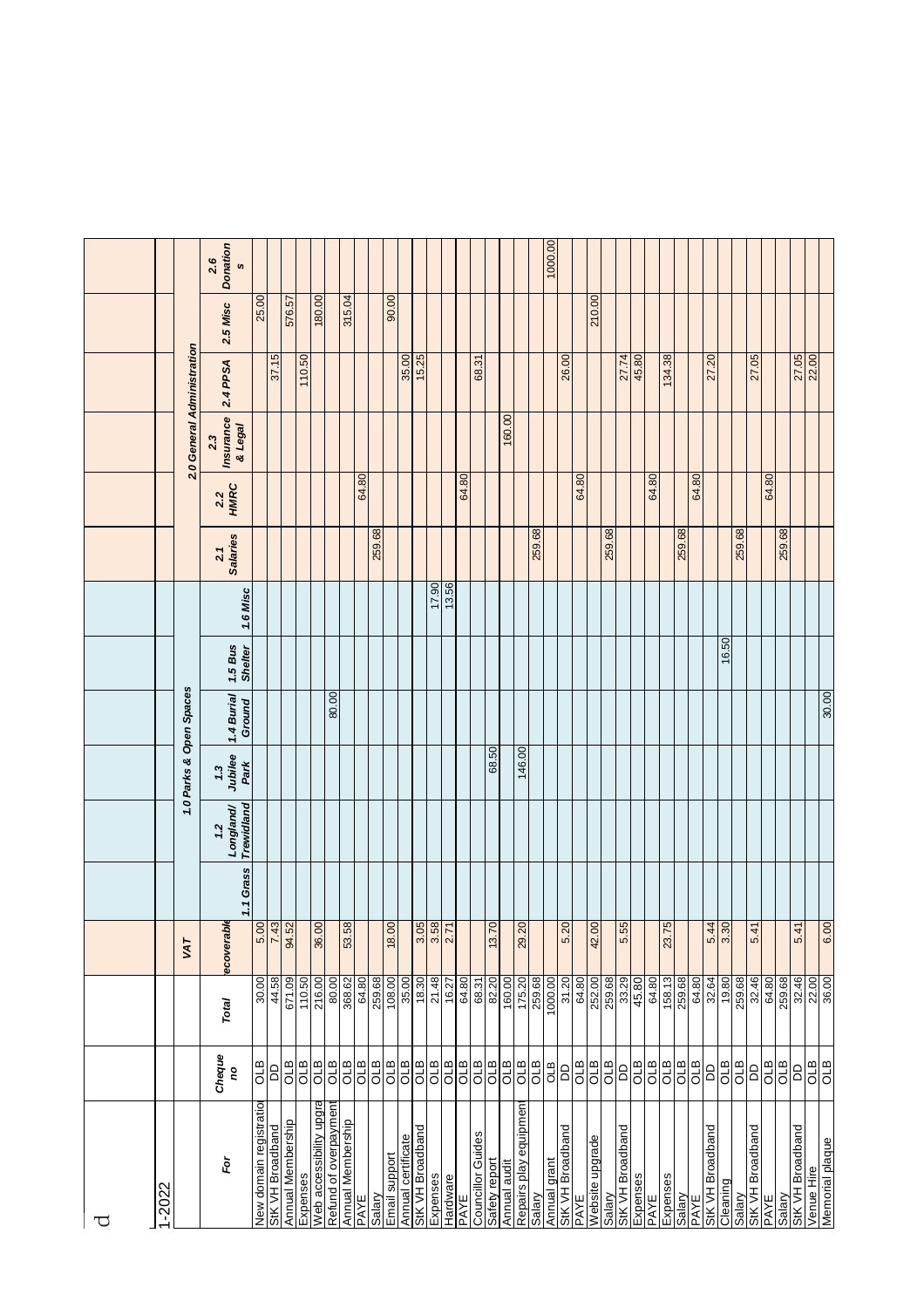|   |        |                            | <b>Donation</b><br>2.6<br>$\mathfrak{g}$ |                         |                  |                      |          |                         |                       |                   |            |            |               |                    |                     |          |            |            |                          |                        |              |                        |            | 1000.00      |                  |            |                 |         |                  |          |            |            |             |            |                  |                     |        |                  |            |            |                  |            |                 |
|---|--------|----------------------------|------------------------------------------|-------------------------|------------------|----------------------|----------|-------------------------|-----------------------|-------------------|------------|------------|---------------|--------------------|---------------------|----------|------------|------------|--------------------------|------------------------|--------------|------------------------|------------|--------------|------------------|------------|-----------------|---------|------------------|----------|------------|------------|-------------|------------|------------------|---------------------|--------|------------------|------------|------------|------------------|------------|-----------------|
|   |        |                            | 2.5 Misc                                 | 25.00                   |                  | 576.57               |          | 180.00                  |                       | 315.04            |            |            | 90.00         |                    |                     |          |            |            |                          |                        |              |                        |            |              |                  |            | 210.00          |         |                  |          |            |            |             |            |                  |                     |        |                  |            |            |                  |            |                 |
|   |        |                            | 2.4 PPSA                                 |                         | 37.15            |                      | 110.50   |                         |                       |                   |            |            |               | 35.00              | 15.25               |          |            |            | 68.31                    |                        |              |                        |            |              | 26.00            |            |                 |         | 27.74            | 45.80    |            | 134.38     |             |            | 27.20            |                     |        | 27.05            |            |            | 27.05            |            |                 |
|   |        | 2.0 General Administration | Insurance<br>& Legal<br>2.3              |                         |                  |                      |          |                         |                       |                   |            |            |               |                    |                     |          |            |            |                          |                        | 160.00       |                        |            |              |                  |            |                 |         |                  |          |            |            |             |            |                  |                     |        |                  |            |            |                  |            |                 |
|   |        |                            | <b>HMRC</b><br>2.2                       |                         |                  |                      |          |                         |                       |                   | 64.80      |            |               |                    |                     |          |            | 64.80      |                          |                        |              |                        |            |              |                  | 64.80      |                 |         |                  |          | 64.80      |            |             | 64.80      |                  |                     |        |                  | 64.80      |            |                  |            |                 |
|   |        |                            | <b>Salaries</b><br>2.1                   |                         |                  |                      |          |                         |                       |                   |            | 259.68     |               |                    |                     |          |            |            |                          |                        |              |                        | 259.68     |              |                  |            |                 | 259.68  |                  |          |            |            | 259.68      |            |                  |                     | 259.68 |                  |            | 259.68     |                  |            |                 |
|   |        |                            | 1.6 Misc                                 |                         |                  |                      |          |                         |                       |                   |            |            |               |                    |                     | 17.90    | 13.56      |            |                          |                        |              |                        |            |              |                  |            |                 |         |                  |          |            |            |             |            |                  |                     |        |                  |            |            |                  |            |                 |
|   |        |                            | 1.5 Bus<br><b>Shelter</b>                |                         |                  |                      |          |                         |                       |                   |            |            |               |                    |                     |          |            |            |                          |                        |              |                        |            |              |                  |            |                 |         |                  |          |            |            |             |            |                  | 16.50               |        |                  |            |            |                  |            |                 |
|   |        | 1.0 Parks & Open Spaces    | 1.4 Burial<br>Ground                     |                         |                  |                      |          |                         | 80.00                 |                   |            |            |               |                    |                     |          |            |            |                          |                        |              |                        |            |              |                  |            |                 |         |                  |          |            |            |             |            |                  |                     |        |                  |            |            |                  |            | 30.00           |
|   |        |                            | Jubilee<br>Park<br>1.3                   |                         |                  |                      |          |                         |                       |                   |            |            |               |                    |                     |          |            |            |                          | 68.50                  |              | 146.00                 |            |              |                  |            |                 |         |                  |          |            |            |             |            |                  |                     |        |                  |            |            |                  |            |                 |
|   |        |                            | Trewidland<br>Longland/<br>1.2           |                         |                  |                      |          |                         |                       |                   |            |            |               |                    |                     |          |            |            |                          |                        |              |                        |            |              |                  |            |                 |         |                  |          |            |            |             |            |                  |                     |        |                  |            |            |                  |            |                 |
|   |        |                            | 1.1 Grass                                |                         |                  |                      |          |                         |                       |                   |            |            |               |                    |                     |          |            |            |                          |                        |              |                        |            |              |                  |            |                 |         |                  |          |            |            |             |            |                  |                     |        |                  |            |            |                  |            |                 |
|   |        | VAT                        | ecoverab                                 | 5.00                    |                  | $\frac{7.43}{94.52}$ |          | 36.00                   |                       | 53.58             |            |            |               |                    | $\frac{3.05}{3.58}$ |          |            |            |                          | $\overline{0}$<br>13.7 |              | 29.20                  |            |              | 5.20             |            | 42.00           |         | 5.55             |          |            | 23.75      |             |            |                  | $\frac{5.44}{3.30}$ |        | 5.41             |            |            | 5.41             |            | 6.00            |
|   |        |                            | Total                                    | 30.00                   | 44.58            | 671.09               | 110.50   | 216.00                  | 80.00                 | 368.62            | 64.80      | 259.68     | 108.00        | 35.00              | 18.30               | 21.48    | 16.27      | 64.80      | 68.31                    | 82.20                  | 160.00       | 175.20                 | 259.68     | 1000.00      | 31.20            | 64.80      | 252.00          | 259.68  | 33.29            | 45.80    | 64.80      | 158.13     | 259.68      | 64.80      | 32.64            | 19.80               | 259.68 | 32.46            | 64.80      | 259.68     | 32.46            | 22.00      | 36.00           |
|   |        |                            | Cheque<br>ou                             | <b>B</b>                | 6                | OLB                  | OLB      | <b>GTO</b>              | <b>GTO</b>            | OLB               | <b>OLB</b> | <b>OLB</b> | OLB           | <b>B</b>           | <b>OLB</b>          | <b>a</b> | <b>OLB</b> | <b>OLB</b> | <b>OLB</b>               | <b>B</b>               | <b>OLB</b>   | <b>STO</b>             | <b>STO</b> | OLB          | $\beta$          | <b>OLB</b> | OLB             | d<br>Jo | $\overline{a}$   | aro      | <b>STO</b> | <b>STD</b> | $rac{a}{c}$ | <b>OLB</b> | 6                | OLB                 | OLB    | $\mathsf{D}$     | <b>OLB</b> | <b>OLB</b> | 6                | OLB        | <b>OLB</b>      |
|   |        |                            |                                          |                         |                  |                      |          |                         |                       |                   |            |            |               |                    |                     |          |            |            |                          |                        |              |                        |            |              |                  |            |                 |         |                  |          |            |            |             |            |                  |                     |        |                  |            |            |                  |            |                 |
| ∪ | 1-2022 |                            | è                                        | New domain registration | StK VH Broadband | Annual Membership    | Expenses | Web accessibility upgra | Refund of overpayment | Annual Membership | PAYE       | Salary     | Email support | Annual certificate | StK VH Broadband    | Expenses | Hardware   | PAYE       | <b>Councillor Guides</b> | Safety report          | Annual audit | Repairs play equipment | Salary     | Annual grant | StK VH Broadband | PAYE       | Website upgrade | Salary  | StK VH Broadband | Expenses | PAYE       | Expenses   | Salary      | PAYE       | StK VH Broadband | Cleaning            | Salary | StK VH Broadband | PAYE       | Salary     | StK VH Broadband | Venue Hire | Memorial plaque |
|   |        |                            |                                          |                         |                  |                      |          |                         |                       |                   |            |            |               |                    |                     |          |            |            |                          |                        |              |                        |            |              |                  |            |                 |         |                  |          |            |            |             |            |                  |                     |        |                  |            |            |                  |            |                 |
|   |        |                            |                                          |                         |                  |                      |          |                         |                       |                   |            |            |               |                    |                     |          |            |            |                          |                        |              |                        |            |              |                  |            |                 |         |                  |          |            |            |             |            |                  |                     |        |                  |            |            |                  |            |                 |
|   |        |                            |                                          |                         |                  |                      |          |                         |                       |                   |            |            |               |                    |                     |          |            |            |                          |                        |              |                        |            |              |                  |            |                 |         |                  |          |            |            |             |            |                  |                     |        |                  |            |            |                  |            |                 |
|   |        |                            |                                          |                         |                  |                      |          |                         |                       |                   |            |            |               |                    |                     |          |            |            |                          |                        |              |                        |            |              |                  |            |                 |         |                  |          |            |            |             |            |                  |                     |        |                  |            |            |                  |            |                 |